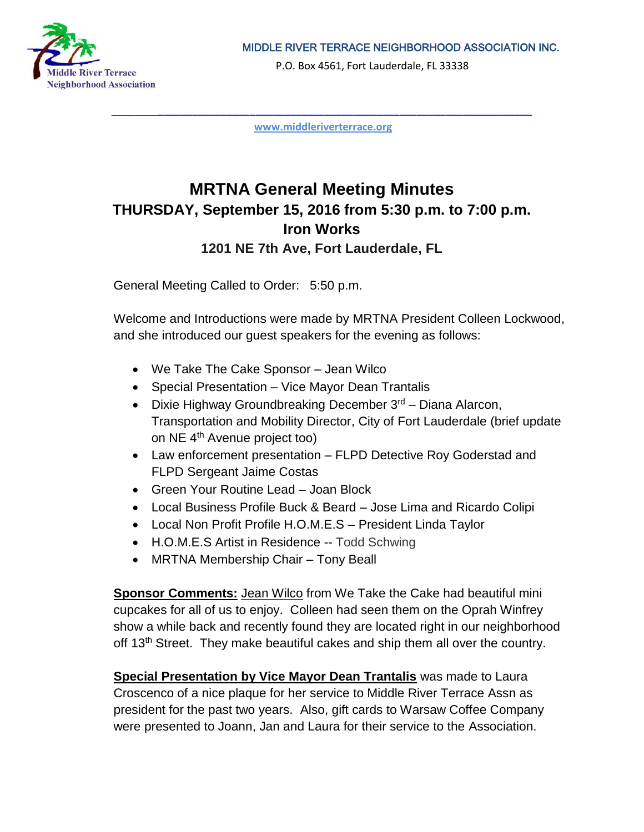

P.O. Box 4561, Fort Lauderdale, FL 33338

\_\_\_\_\_\_\_\_**\_\_\_\_\_\_\_\_\_\_\_\_\_\_\_\_\_\_\_\_\_\_\_\_\_\_\_\_\_\_\_\_\_\_\_\_\_\_\_\_\_\_\_\_\_\_\_\_\_\_\_\_\_\_\_\_\_\_\_\_\_\_\_\_\_ [www.middleriverterrace.org](http://www.middleriverterrace.org/)**

# **MRTNA General Meeting Minutes THURSDAY, September 15, 2016 from 5:30 p.m. to 7:00 p.m. Iron Works 1201 NE 7th Ave, Fort Lauderdale, FL**

General Meeting Called to Order: 5:50 p.m.

Welcome and Introductions were made by MRTNA President Colleen Lockwood, and she introduced our guest speakers for the evening as follows:

- We Take The Cake Sponsor Jean Wilco
- Special Presentation Vice Mayor Dean Trantalis
- Dixie Highway Groundbreaking December  $3<sup>rd</sup>$  Diana Alarcon, Transportation and Mobility Director, City of Fort Lauderdale (brief update on NE 4th Avenue project too)
- Law enforcement presentation FLPD Detective Roy Goderstad and FLPD Sergeant Jaime Costas
- Green Your Routine Lead Joan Block
- Local Business Profile Buck & Beard Jose Lima and Ricardo Colipi
- Local Non Profit Profile H.O.M.E.S President Linda Taylor
- H.O.M.E.S Artist in Residence -- Todd Schwing
- MRTNA Membership Chair Tony Beall

**Sponsor Comments:** Jean Wilco from We Take the Cake had beautiful mini cupcakes for all of us to enjoy. Colleen had seen them on the Oprah Winfrey show a while back and recently found they are located right in our neighborhood off 13<sup>th</sup> Street. They make beautiful cakes and ship them all over the country.

**Special Presentation by Vice Mayor Dean Trantalis** was made to Laura Croscenco of a nice plaque for her service to Middle River Terrace Assn as president for the past two years. Also, gift cards to Warsaw Coffee Company were presented to Joann, Jan and Laura for their service to the Association.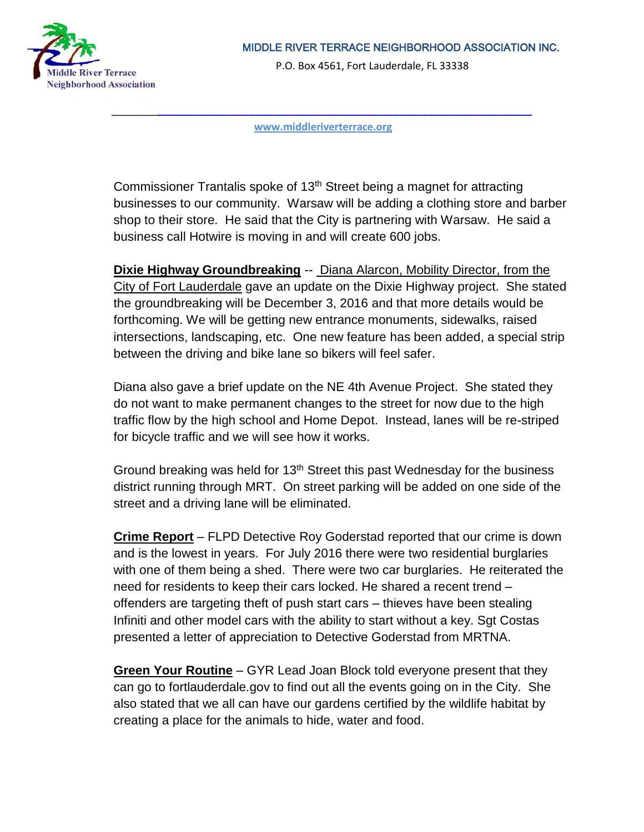

P.O. Box 4561, Fort Lauderdale, FL 33338

\_\_\_\_\_\_\_\_**\_\_\_\_\_\_\_\_\_\_\_\_\_\_\_\_\_\_\_\_\_\_\_\_\_\_\_\_\_\_\_\_\_\_\_\_\_\_\_\_\_\_\_\_\_\_\_\_\_\_\_\_\_\_\_\_\_\_\_\_\_\_\_\_\_ [www.middleriverterrace.org](http://www.middleriverterrace.org/)**

Commissioner Trantalis spoke of 13th Street being a magnet for attracting businesses to our community. Warsaw will be adding a clothing store and barber shop to their store. He said that the City is partnering with Warsaw. He said a business call Hotwire is moving in and will create 600 jobs.

**Dixie Highway Groundbreaking** -- Diana Alarcon, Mobility Director, from the City of Fort Lauderdale gave an update on the Dixie Highway project. She stated the groundbreaking will be December 3, 2016 and that more details would be forthcoming. We will be getting new entrance monuments, sidewalks, raised intersections, landscaping, etc. One new feature has been added, a special strip between the driving and bike lane so bikers will feel safer.

Diana also gave a brief update on the NE 4th Avenue Project. She stated they do not want to make permanent changes to the street for now due to the high traffic flow by the high school and Home Depot. Instead, lanes will be re-striped for bicycle traffic and we will see how it works.

Ground breaking was held for  $13<sup>th</sup>$  Street this past Wednesday for the business district running through MRT. On street parking will be added on one side of the street and a driving lane will be eliminated.

**Crime Report** – FLPD Detective Roy Goderstad reported that our crime is down and is the lowest in years. For July 2016 there were two residential burglaries with one of them being a shed. There were two car burglaries. He reiterated the need for residents to keep their cars locked. He shared a recent trend – offenders are targeting theft of push start cars – thieves have been stealing Infiniti and other model cars with the ability to start without a key. Sgt Costas presented a letter of appreciation to Detective Goderstad from MRTNA.

**Green Your Routine** – GYR Lead Joan Block told everyone present that they can go to fortlauderdale.gov to find out all the events going on in the City. She also stated that we all can have our gardens certified by the wildlife habitat by creating a place for the animals to hide, water and food.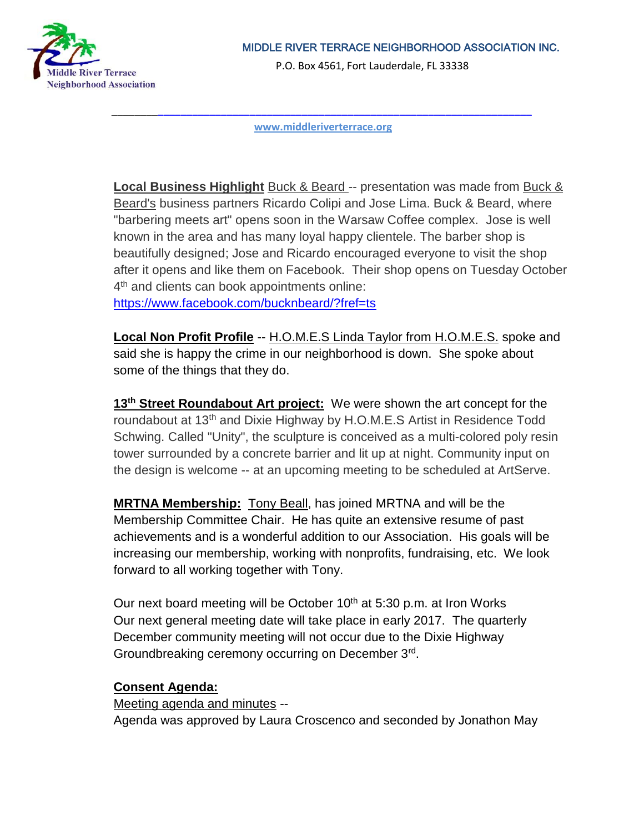

P.O. Box 4561, Fort Lauderdale, FL 33338

\_\_\_\_\_\_\_\_**\_\_\_\_\_\_\_\_\_\_\_\_\_\_\_\_\_\_\_\_\_\_\_\_\_\_\_\_\_\_\_\_\_\_\_\_\_\_\_\_\_\_\_\_\_\_\_\_\_\_\_\_\_\_\_\_\_\_\_\_\_\_\_\_\_ [www.middleriverterrace.org](http://www.middleriverterrace.org/)**

**Local Business Highlight** Buck & Beard -- presentation was made from Buck & Beard's business partners Ricardo Colipi and Jose Lima. Buck & Beard, where "barbering meets art" opens soon in the Warsaw Coffee complex. Jose is well known in the area and has many loyal happy clientele. The barber shop is beautifully designed; Jose and Ricardo encouraged everyone to visit the shop after it opens and like them on Facebook. Their shop opens on Tuesday October 4<sup>th</sup> and clients can book appointments online: <https://www.facebook.com/bucknbeard/?fref=ts>

**Local Non Profit Profile** -- H.O.M.E.S Linda Taylor from H.O.M.E.S. spoke and said she is happy the crime in our neighborhood is down. She spoke about

some of the things that they do.

13<sup>th</sup> Street Roundabout Art project: We were shown the art concept for the roundabout at 13<sup>th</sup> and Dixie Highway by H.O.M.E.S Artist in Residence Todd Schwing. Called "Unity", the sculpture is conceived as a multi-colored poly resin tower surrounded by a concrete barrier and lit up at night. Community input on the design is welcome -- at an upcoming meeting to be scheduled at ArtServe.

**MRTNA Membership:** Tony Beall, has joined MRTNA and will be the Membership Committee Chair. He has quite an extensive resume of past achievements and is a wonderful addition to our Association. His goals will be increasing our membership, working with nonprofits, fundraising, etc. We look forward to all working together with Tony.

Our next board meeting will be October 10<sup>th</sup> at 5:30 p.m. at Iron Works Our next general meeting date will take place in early 2017. The quarterly December community meeting will not occur due to the Dixie Highway Groundbreaking ceremony occurring on December 3rd.

## **Consent Agenda:**

Meeting agenda and minutes -- Agenda was approved by Laura Croscenco and seconded by Jonathon May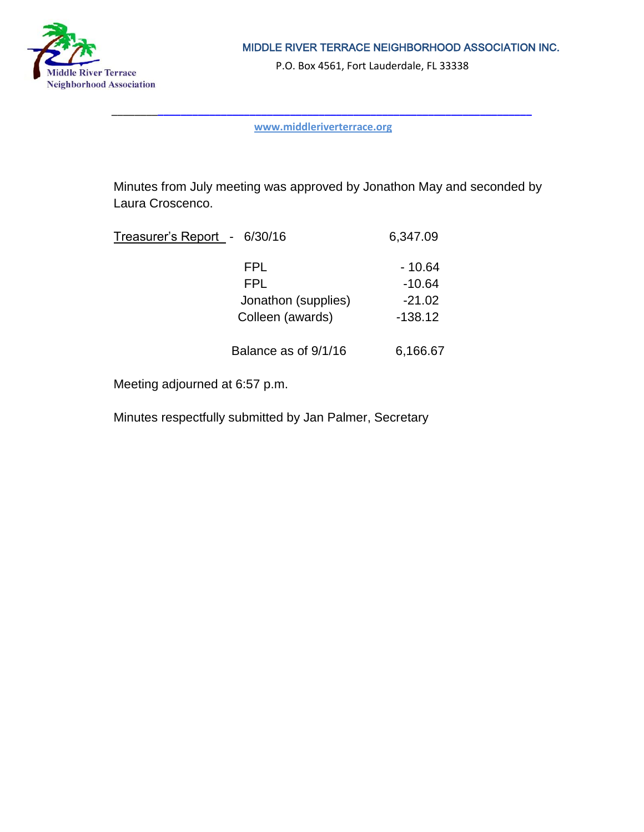

P.O. Box 4561, Fort Lauderdale, FL 33338

\_\_\_\_\_\_\_\_**\_\_\_\_\_\_\_\_\_\_\_\_\_\_\_\_\_\_\_\_\_\_\_\_\_\_\_\_\_\_\_\_\_\_\_\_\_\_\_\_\_\_\_\_\_\_\_\_\_\_\_\_\_\_\_\_\_\_\_\_\_\_\_\_\_ [www.middleriverterrace.org](http://www.middleriverterrace.org/)**

Minutes from July meeting was approved by Jonathon May and seconded by Laura Croscenco.

| Treasurer's Report - 6/30/16 | 6,347.09  |
|------------------------------|-----------|
| FPL.                         | - 10.64   |
| <b>FPL</b>                   | $-10.64$  |
| Jonathon (supplies)          | $-21.02$  |
| Colleen (awards)             | $-138.12$ |
| Balance as of 9/1/16         | 6,166.67  |

Meeting adjourned at 6:57 p.m.

Minutes respectfully submitted by Jan Palmer, Secretary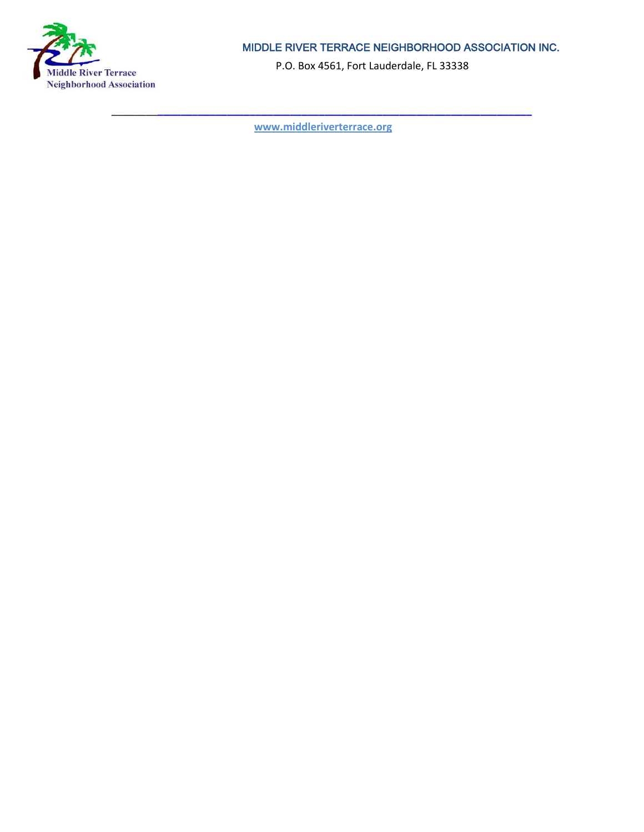

P.O. Box 4561, Fort Lauderdale, FL 33338

\_\_\_\_\_\_\_\_**\_\_\_\_\_\_\_\_\_\_\_\_\_\_\_\_\_\_\_\_\_\_\_\_\_\_\_\_\_\_\_\_\_\_\_\_\_\_\_\_\_\_\_\_\_\_\_\_\_\_\_\_\_\_\_\_\_\_\_\_\_\_\_\_\_ [www.middleriverterrace.org](http://www.middleriverterrace.org/)**